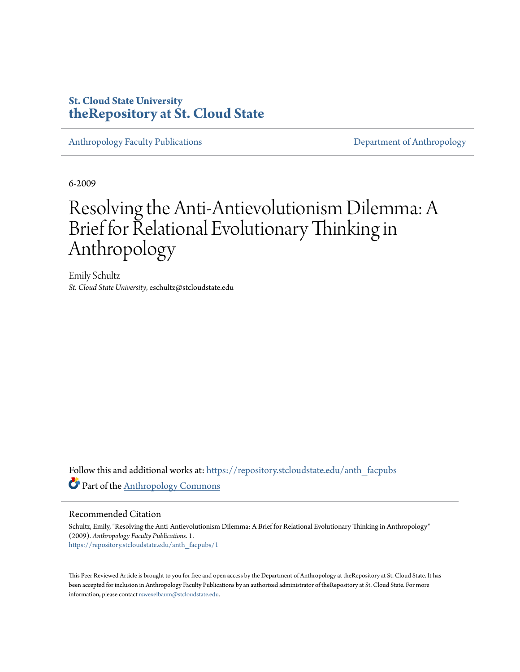# **St. Cloud State University [theRepository at St. Cloud State](https://repository.stcloudstate.edu?utm_source=repository.stcloudstate.edu%2Fanth_facpubs%2F1&utm_medium=PDF&utm_campaign=PDFCoverPages)**

[Anthropology Faculty Publications](https://repository.stcloudstate.edu/anth_facpubs?utm_source=repository.stcloudstate.edu%2Fanth_facpubs%2F1&utm_medium=PDF&utm_campaign=PDFCoverPages) **[Department of Anthropology](https://repository.stcloudstate.edu/anth?utm_source=repository.stcloudstate.edu%2Fanth_facpubs%2F1&utm_medium=PDF&utm_campaign=PDFCoverPages)** 

6-2009

# Resolving the Anti-Antievolutionism Dilemma: A Brief for Relational Evolutionary Thinking in Anthropology

Emily Schultz *St. Cloud State University*, eschultz@stcloudstate.edu

Follow this and additional works at: [https://repository.stcloudstate.edu/anth\\_facpubs](https://repository.stcloudstate.edu/anth_facpubs?utm_source=repository.stcloudstate.edu%2Fanth_facpubs%2F1&utm_medium=PDF&utm_campaign=PDFCoverPages) Part of the [Anthropology Commons](http://network.bepress.com/hgg/discipline/318?utm_source=repository.stcloudstate.edu%2Fanth_facpubs%2F1&utm_medium=PDF&utm_campaign=PDFCoverPages)

Recommended Citation

Schultz, Emily, "Resolving the Anti-Antievolutionism Dilemma: A Brief for Relational Evolutionary Thinking in Anthropology" (2009). *Anthropology Faculty Publications*. 1. [https://repository.stcloudstate.edu/anth\\_facpubs/1](https://repository.stcloudstate.edu/anth_facpubs/1?utm_source=repository.stcloudstate.edu%2Fanth_facpubs%2F1&utm_medium=PDF&utm_campaign=PDFCoverPages)

This Peer Reviewed Article is brought to you for free and open access by the Department of Anthropology at theRepository at St. Cloud State. It has been accepted for inclusion in Anthropology Faculty Publications by an authorized administrator of theRepository at St. Cloud State. For more information, please contact [rswexelbaum@stcloudstate.edu.](mailto:rswexelbaum@stcloudstate.edu)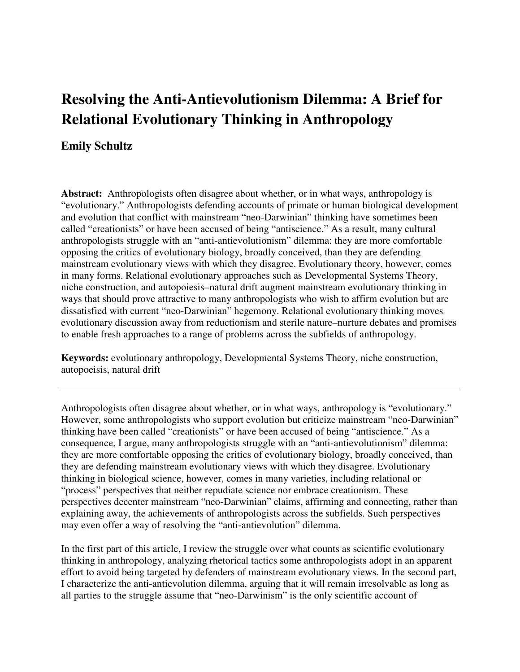# **Resolving the Anti-Antievolutionism Dilemma: A Brief for Relational Evolutionary Thinking in Anthropology**

# **Emily Schultz**

**Abstract:** Anthropologists often disagree about whether, or in what ways, anthropology is "evolutionary." Anthropologists defending accounts of primate or human biological development and evolution that conflict with mainstream "neo-Darwinian" thinking have sometimes been called "creationists" or have been accused of being "antiscience." As a result, many cultural anthropologists struggle with an "anti-antievolutionism" dilemma: they are more comfortable opposing the critics of evolutionary biology, broadly conceived, than they are defending mainstream evolutionary views with which they disagree. Evolutionary theory, however, comes in many forms. Relational evolutionary approaches such as Developmental Systems Theory, niche construction, and autopoiesis–natural drift augment mainstream evolutionary thinking in ways that should prove attractive to many anthropologists who wish to affirm evolution but are dissatisfied with current "neo-Darwinian" hegemony. Relational evolutionary thinking moves evolutionary discussion away from reductionism and sterile nature–nurture debates and promises to enable fresh approaches to a range of problems across the subfields of anthropology.

**Keywords:** evolutionary anthropology, Developmental Systems Theory, niche construction, autopoeisis, natural drift

Anthropologists often disagree about whether, or in what ways, anthropology is "evolutionary." However, some anthropologists who support evolution but criticize mainstream "neo-Darwinian" thinking have been called "creationists" or have been accused of being "antiscience." As a consequence, I argue, many anthropologists struggle with an "anti-antievolutionism" dilemma: they are more comfortable opposing the critics of evolutionary biology, broadly conceived, than they are defending mainstream evolutionary views with which they disagree. Evolutionary thinking in biological science, however, comes in many varieties, including relational or "process" perspectives that neither repudiate science nor embrace creationism. These perspectives decenter mainstream "neo-Darwinian" claims, affirming and connecting, rather than explaining away, the achievements of anthropologists across the subfields. Such perspectives may even offer a way of resolving the "anti-antievolution" dilemma.

In the first part of this article, I review the struggle over what counts as scientific evolutionary thinking in anthropology, analyzing rhetorical tactics some anthropologists adopt in an apparent effort to avoid being targeted by defenders of mainstream evolutionary views. In the second part, I characterize the anti-antievolution dilemma, arguing that it will remain irresolvable as long as all parties to the struggle assume that "neo-Darwinism" is the only scientific account of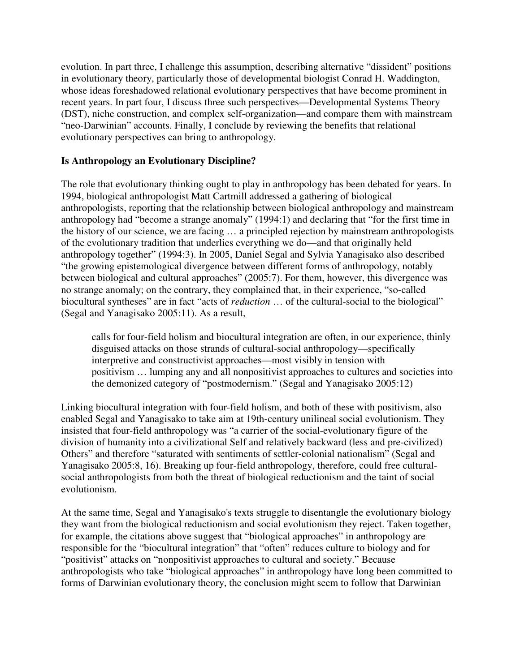evolution. In part three, I challenge this assumption, describing alternative "dissident" positions in evolutionary theory, particularly those of developmental biologist Conrad H. Waddington, whose ideas foreshadowed relational evolutionary perspectives that have become prominent in recent years. In part four, I discuss three such perspectives—Developmental Systems Theory (DST), niche construction, and complex self-organization—and compare them with mainstream "neo-Darwinian" accounts. Finally, I conclude by reviewing the benefits that relational evolutionary perspectives can bring to anthropology.

# **Is Anthropology an Evolutionary Discipline?**

The role that evolutionary thinking ought to play in anthropology has been debated for years. In 1994, biological anthropologist Matt Cartmill addressed a gathering of biological anthropologists, reporting that the relationship between biological anthropology and mainstream anthropology had "become a strange anomaly" (1994:1) and declaring that "for the first time in the history of our science, we are facing … a principled rejection by mainstream anthropologists of the evolutionary tradition that underlies everything we do—and that originally held anthropology together" (1994:3). In 2005, Daniel Segal and Sylvia Yanagisako also described "the growing epistemological divergence between different forms of anthropology, notably between biological and cultural approaches" (2005:7). For them, however, this divergence was no strange anomaly; on the contrary, they complained that, in their experience, "so-called biocultural syntheses" are in fact "acts of *reduction* … of the cultural-social to the biological" (Segal and Yanagisako 2005:11). As a result,

calls for four-field holism and biocultural integration are often, in our experience, thinly disguised attacks on those strands of cultural-social anthropology—specifically interpretive and constructivist approaches—most visibly in tension with positivism … lumping any and all nonpositivist approaches to cultures and societies into the demonized category of "postmodernism." (Segal and Yanagisako 2005:12)

Linking biocultural integration with four-field holism, and both of these with positivism, also enabled Segal and Yanagisako to take aim at 19th-century unilineal social evolutionism. They insisted that four-field anthropology was "a carrier of the social-evolutionary figure of the division of humanity into a civilizational Self and relatively backward (less and pre-civilized) Others" and therefore "saturated with sentiments of settler-colonial nationalism" (Segal and Yanagisako 2005:8, 16). Breaking up four-field anthropology, therefore, could free culturalsocial anthropologists from both the threat of biological reductionism and the taint of social evolutionism.

At the same time, Segal and Yanagisako's texts struggle to disentangle the evolutionary biology they want from the biological reductionism and social evolutionism they reject. Taken together, for example, the citations above suggest that "biological approaches" in anthropology are responsible for the "biocultural integration" that "often" reduces culture to biology and for "positivist" attacks on "nonpositivist approaches to cultural and society." Because anthropologists who take "biological approaches" in anthropology have long been committed to forms of Darwinian evolutionary theory, the conclusion might seem to follow that Darwinian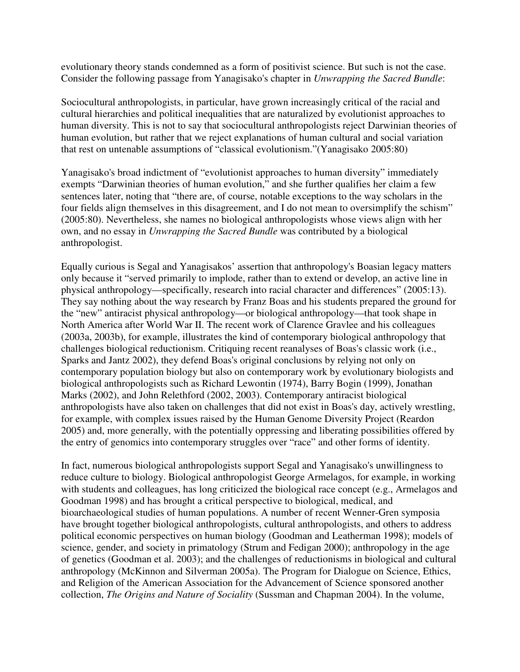evolutionary theory stands condemned as a form of positivist science. But such is not the case. Consider the following passage from Yanagisako's chapter in *Unwrapping the Sacred Bundle*:

Sociocultural anthropologists, in particular, have grown increasingly critical of the racial and cultural hierarchies and political inequalities that are naturalized by evolutionist approaches to human diversity. This is not to say that sociocultural anthropologists reject Darwinian theories of human evolution, but rather that we reject explanations of human cultural and social variation that rest on untenable assumptions of "classical evolutionism."(Yanagisako 2005:80)

Yanagisako's broad indictment of "evolutionist approaches to human diversity" immediately exempts "Darwinian theories of human evolution," and she further qualifies her claim a few sentences later, noting that "there are, of course, notable exceptions to the way scholars in the four fields align themselves in this disagreement, and I do not mean to oversimplify the schism" (2005:80). Nevertheless, she names no biological anthropologists whose views align with her own, and no essay in *Unwrapping the Sacred Bundle* was contributed by a biological anthropologist.

Equally curious is Segal and Yanagisakos' assertion that anthropology's Boasian legacy matters only because it "served primarily to implode, rather than to extend or develop, an active line in physical anthropology—specifically, research into racial character and differences" (2005:13). They say nothing about the way research by Franz Boas and his students prepared the ground for the "new" antiracist physical anthropology—or biological anthropology—that took shape in North America after World War II. The recent work of Clarence Gravlee and his colleagues (2003a, 2003b), for example, illustrates the kind of contemporary biological anthropology that challenges biological reductionism. Critiquing recent reanalyses of Boas's classic work (i.e., Sparks and Jantz 2002), they defend Boas's original conclusions by relying not only on contemporary population biology but also on contemporary work by evolutionary biologists and biological anthropologists such as Richard Lewontin (1974), Barry Bogin (1999), Jonathan Marks (2002), and John Relethford (2002, 2003). Contemporary antiracist biological anthropologists have also taken on challenges that did not exist in Boas's day, actively wrestling, for example, with complex issues raised by the Human Genome Diversity Project (Reardon 2005) and, more generally, with the potentially oppressing and liberating possibilities offered by the entry of genomics into contemporary struggles over "race" and other forms of identity.

In fact, numerous biological anthropologists support Segal and Yanagisako's unwillingness to reduce culture to biology. Biological anthropologist George Armelagos, for example, in working with students and colleagues, has long criticized the biological race concept (e.g., Armelagos and Goodman 1998) and has brought a critical perspective to biological, medical, and bioarchaeological studies of human populations. A number of recent Wenner-Gren symposia have brought together biological anthropologists, cultural anthropologists, and others to address political economic perspectives on human biology (Goodman and Leatherman 1998); models of science, gender, and society in primatology (Strum and Fedigan 2000); anthropology in the age of genetics (Goodman et al. 2003); and the challenges of reductionisms in biological and cultural anthropology (McKinnon and Silverman 2005a). The Program for Dialogue on Science, Ethics, and Religion of the American Association for the Advancement of Science sponsored another collection, *The Origins and Nature of Sociality* (Sussman and Chapman 2004). In the volume,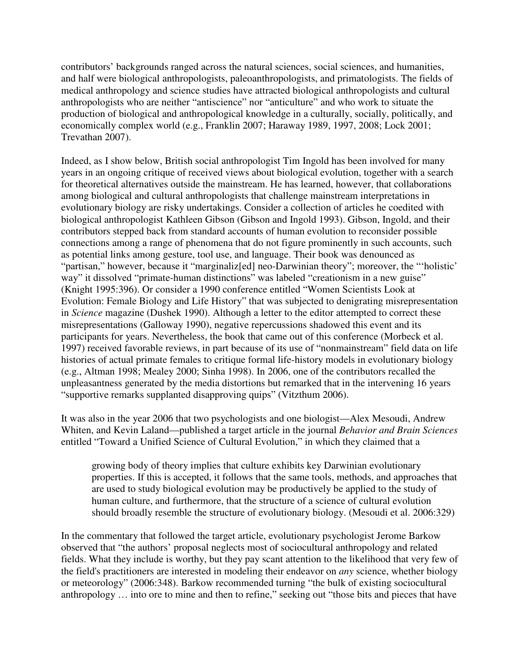contributors' backgrounds ranged across the natural sciences, social sciences, and humanities, and half were biological anthropologists, paleoanthropologists, and primatologists. The fields of medical anthropology and science studies have attracted biological anthropologists and cultural anthropologists who are neither "antiscience" nor "anticulture" and who work to situate the production of biological and anthropological knowledge in a culturally, socially, politically, and economically complex world (e.g., Franklin 2007; Haraway 1989, 1997, 2008; Lock 2001; Trevathan 2007).

Indeed, as I show below, British social anthropologist Tim Ingold has been involved for many years in an ongoing critique of received views about biological evolution, together with a search for theoretical alternatives outside the mainstream. He has learned, however, that collaborations among biological and cultural anthropologists that challenge mainstream interpretations in evolutionary biology are risky undertakings. Consider a collection of articles he coedited with biological anthropologist Kathleen Gibson (Gibson and Ingold 1993). Gibson, Ingold, and their contributors stepped back from standard accounts of human evolution to reconsider possible connections among a range of phenomena that do not figure prominently in such accounts, such as potential links among gesture, tool use, and language. Their book was denounced as "partisan," however, because it "marginaliz[ed] neo-Darwinian theory"; moreover, the "'holistic' way" it dissolved "primate-human distinctions" was labeled "creationism in a new guise" (Knight 1995:396). Or consider a 1990 conference entitled "Women Scientists Look at Evolution: Female Biology and Life History" that was subjected to denigrating misrepresentation in *Science* magazine (Dushek 1990). Although a letter to the editor attempted to correct these misrepresentations (Galloway 1990), negative repercussions shadowed this event and its participants for years. Nevertheless, the book that came out of this conference (Morbeck et al. 1997) received favorable reviews, in part because of its use of "nonmainstream" field data on life histories of actual primate females to critique formal life-history models in evolutionary biology (e.g., Altman 1998; Mealey 2000; Sinha 1998). In 2006, one of the contributors recalled the unpleasantness generated by the media distortions but remarked that in the intervening 16 years "supportive remarks supplanted disapproving quips" (Vitzthum 2006).

It was also in the year 2006 that two psychologists and one biologist—Alex Mesoudi, Andrew Whiten, and Kevin Laland—published a target article in the journal *Behavior and Brain Sciences* entitled "Toward a Unified Science of Cultural Evolution," in which they claimed that a

growing body of theory implies that culture exhibits key Darwinian evolutionary properties. If this is accepted, it follows that the same tools, methods, and approaches that are used to study biological evolution may be productively be applied to the study of human culture, and furthermore, that the structure of a science of cultural evolution should broadly resemble the structure of evolutionary biology. (Mesoudi et al. 2006:329)

In the commentary that followed the target article, evolutionary psychologist Jerome Barkow observed that "the authors' proposal neglects most of sociocultural anthropology and related fields. What they include is worthy, but they pay scant attention to the likelihood that very few of the field's practitioners are interested in modeling their endeavor on *any* science, whether biology or meteorology" (2006:348). Barkow recommended turning "the bulk of existing sociocultural anthropology … into ore to mine and then to refine," seeking out "those bits and pieces that have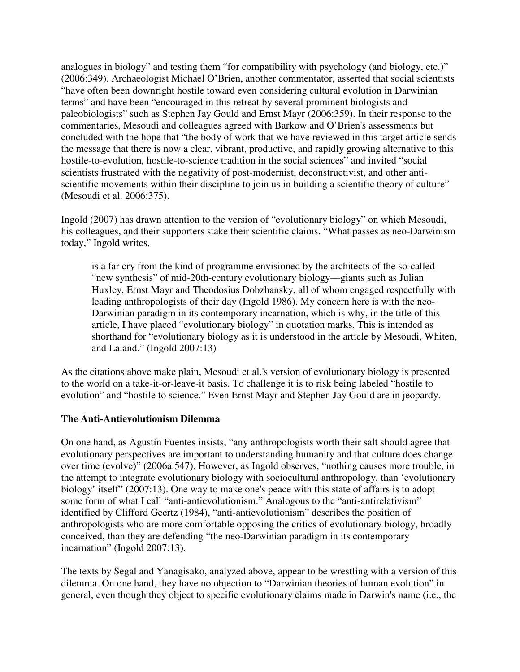analogues in biology" and testing them "for compatibility with psychology (and biology, etc.)" (2006:349). Archaeologist Michael O'Brien, another commentator, asserted that social scientists "have often been downright hostile toward even considering cultural evolution in Darwinian terms" and have been "encouraged in this retreat by several prominent biologists and paleobiologists" such as Stephen Jay Gould and Ernst Mayr (2006:359). In their response to the commentaries, Mesoudi and colleagues agreed with Barkow and O'Brien's assessments but concluded with the hope that "the body of work that we have reviewed in this target article sends the message that there is now a clear, vibrant, productive, and rapidly growing alternative to this hostile-to-evolution, hostile-to-science tradition in the social sciences" and invited "social scientists frustrated with the negativity of post-modernist, deconstructivist, and other antiscientific movements within their discipline to join us in building a scientific theory of culture" (Mesoudi et al. 2006:375).

Ingold (2007) has drawn attention to the version of "evolutionary biology" on which Mesoudi, his colleagues, and their supporters stake their scientific claims. "What passes as neo-Darwinism today," Ingold writes,

is a far cry from the kind of programme envisioned by the architects of the so-called "new synthesis" of mid-20th-century evolutionary biology—giants such as Julian Huxley, Ernst Mayr and Theodosius Dobzhansky, all of whom engaged respectfully with leading anthropologists of their day (Ingold 1986). My concern here is with the neo-Darwinian paradigm in its contemporary incarnation, which is why, in the title of this article, I have placed "evolutionary biology" in quotation marks. This is intended as shorthand for "evolutionary biology as it is understood in the article by Mesoudi, Whiten, and Laland." (Ingold 2007:13)

As the citations above make plain, Mesoudi et al.'s version of evolutionary biology is presented to the world on a take-it-or-leave-it basis. To challenge it is to risk being labeled "hostile to evolution" and "hostile to science." Even Ernst Mayr and Stephen Jay Gould are in jeopardy.

# **The Anti-Antievolutionism Dilemma**

On one hand, as Agustín Fuentes insists, "any anthropologists worth their salt should agree that evolutionary perspectives are important to understanding humanity and that culture does change over time (evolve)" (2006a:547). However, as Ingold observes, "nothing causes more trouble, in the attempt to integrate evolutionary biology with sociocultural anthropology, than 'evolutionary biology' itself" (2007:13). One way to make one's peace with this state of affairs is to adopt some form of what I call "anti-antievolutionism." Analogous to the "anti-antirelativism" identified by Clifford Geertz (1984), "anti-antievolutionism" describes the position of anthropologists who are more comfortable opposing the critics of evolutionary biology, broadly conceived, than they are defending "the neo-Darwinian paradigm in its contemporary incarnation" (Ingold 2007:13).

The texts by Segal and Yanagisako, analyzed above, appear to be wrestling with a version of this dilemma. On one hand, they have no objection to "Darwinian theories of human evolution" in general, even though they object to specific evolutionary claims made in Darwin's name (i.e., the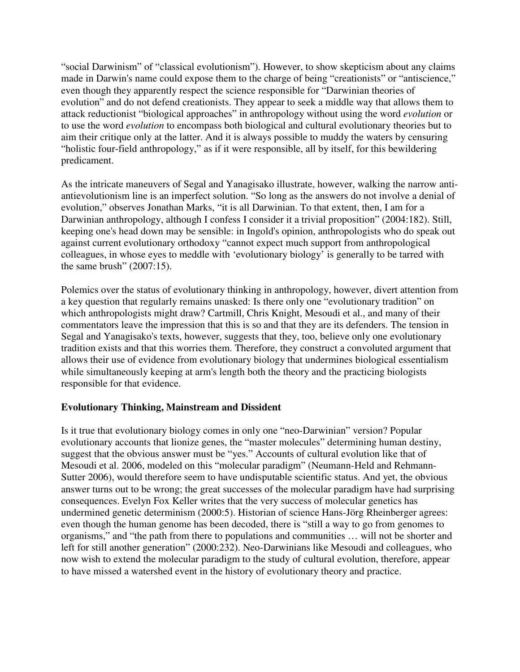"social Darwinism" of "classical evolutionism"). However, to show skepticism about any claims made in Darwin's name could expose them to the charge of being "creationists" or "antiscience," even though they apparently respect the science responsible for "Darwinian theories of evolution" and do not defend creationists. They appear to seek a middle way that allows them to attack reductionist "biological approaches" in anthropology without using the word *evolution* or to use the word *evolution* to encompass both biological and cultural evolutionary theories but to aim their critique only at the latter. And it is always possible to muddy the waters by censuring "holistic four-field anthropology," as if it were responsible, all by itself, for this bewildering predicament.

As the intricate maneuvers of Segal and Yanagisako illustrate, however, walking the narrow antiantievolutionism line is an imperfect solution. "So long as the answers do not involve a denial of evolution," observes Jonathan Marks, "it is all Darwinian. To that extent, then, I am for a Darwinian anthropology, although I confess I consider it a trivial proposition" (2004:182). Still, keeping one's head down may be sensible: in Ingold's opinion, anthropologists who do speak out against current evolutionary orthodoxy "cannot expect much support from anthropological colleagues, in whose eyes to meddle with 'evolutionary biology' is generally to be tarred with the same brush"  $(2007:15)$ .

Polemics over the status of evolutionary thinking in anthropology, however, divert attention from a key question that regularly remains unasked: Is there only one "evolutionary tradition" on which anthropologists might draw? Cartmill, Chris Knight, Mesoudi et al., and many of their commentators leave the impression that this is so and that they are its defenders. The tension in Segal and Yanagisako's texts, however, suggests that they, too, believe only one evolutionary tradition exists and that this worries them. Therefore, they construct a convoluted argument that allows their use of evidence from evolutionary biology that undermines biological essentialism while simultaneously keeping at arm's length both the theory and the practicing biologists responsible for that evidence.

#### **Evolutionary Thinking, Mainstream and Dissident**

Is it true that evolutionary biology comes in only one "neo-Darwinian" version? Popular evolutionary accounts that lionize genes, the "master molecules" determining human destiny, suggest that the obvious answer must be "yes." Accounts of cultural evolution like that of Mesoudi et al. 2006, modeled on this "molecular paradigm" (Neumann-Held and Rehmann-Sutter 2006), would therefore seem to have undisputable scientific status. And yet, the obvious answer turns out to be wrong; the great successes of the molecular paradigm have had surprising consequences. Evelyn Fox Keller writes that the very success of molecular genetics has undermined genetic determinism (2000:5). Historian of science Hans-Jörg Rheinberger agrees: even though the human genome has been decoded, there is "still a way to go from genomes to organisms," and "the path from there to populations and communities … will not be shorter and left for still another generation" (2000:232). Neo-Darwinians like Mesoudi and colleagues, who now wish to extend the molecular paradigm to the study of cultural evolution, therefore, appear to have missed a watershed event in the history of evolutionary theory and practice.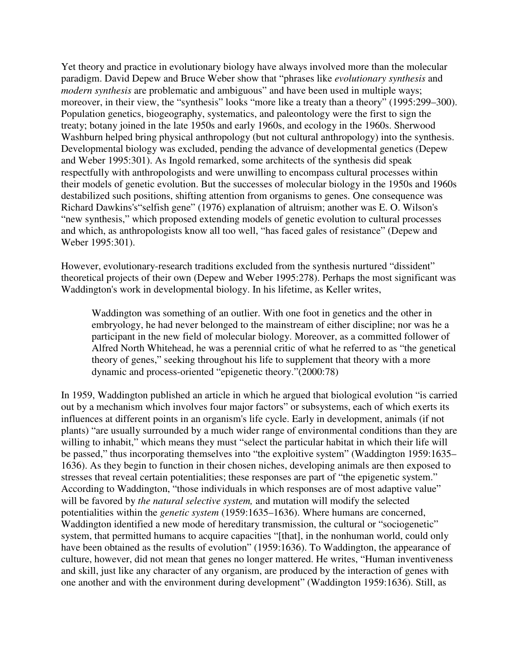Yet theory and practice in evolutionary biology have always involved more than the molecular paradigm. David Depew and Bruce Weber show that "phrases like *evolutionary synthesis* and *modern synthesis* are problematic and ambiguous" and have been used in multiple ways; moreover, in their view, the "synthesis" looks "more like a treaty than a theory" (1995:299–300). Population genetics, biogeography, systematics, and paleontology were the first to sign the treaty; botany joined in the late 1950s and early 1960s, and ecology in the 1960s. Sherwood Washburn helped bring physical anthropology (but not cultural anthropology) into the synthesis. Developmental biology was excluded, pending the advance of developmental genetics (Depew and Weber 1995:301). As Ingold remarked, some architects of the synthesis did speak respectfully with anthropologists and were unwilling to encompass cultural processes within their models of genetic evolution. But the successes of molecular biology in the 1950s and 1960s destabilized such positions, shifting attention from organisms to genes. One consequence was Richard Dawkins's"selfish gene" (1976) explanation of altruism; another was E. O. Wilson's "new synthesis," which proposed extending models of genetic evolution to cultural processes and which, as anthropologists know all too well, "has faced gales of resistance" (Depew and Weber 1995:301).

However, evolutionary-research traditions excluded from the synthesis nurtured "dissident" theoretical projects of their own (Depew and Weber 1995:278). Perhaps the most significant was Waddington's work in developmental biology. In his lifetime, as Keller writes,

Waddington was something of an outlier. With one foot in genetics and the other in embryology, he had never belonged to the mainstream of either discipline; nor was he a participant in the new field of molecular biology. Moreover, as a committed follower of Alfred North Whitehead, he was a perennial critic of what he referred to as "the genetical theory of genes," seeking throughout his life to supplement that theory with a more dynamic and process-oriented "epigenetic theory."(2000:78)

In 1959, Waddington published an article in which he argued that biological evolution "is carried out by a mechanism which involves four major factors" or subsystems, each of which exerts its influences at different points in an organism's life cycle. Early in development, animals (if not plants) "are usually surrounded by a much wider range of environmental conditions than they are willing to inhabit," which means they must "select the particular habitat in which their life will be passed," thus incorporating themselves into "the exploitive system" (Waddington 1959:1635– 1636). As they begin to function in their chosen niches, developing animals are then exposed to stresses that reveal certain potentialities; these responses are part of "the epigenetic system." According to Waddington, "those individuals in which responses are of most adaptive value" will be favored by *the natural selective system,* and mutation will modify the selected potentialities within the *genetic system* (1959:1635–1636). Where humans are concerned, Waddington identified a new mode of hereditary transmission, the cultural or "sociogenetic" system, that permitted humans to acquire capacities "[that], in the nonhuman world, could only have been obtained as the results of evolution" (1959:1636). To Waddington, the appearance of culture, however, did not mean that genes no longer mattered. He writes, "Human inventiveness and skill, just like any character of any organism, are produced by the interaction of genes with one another and with the environment during development" (Waddington 1959:1636). Still, as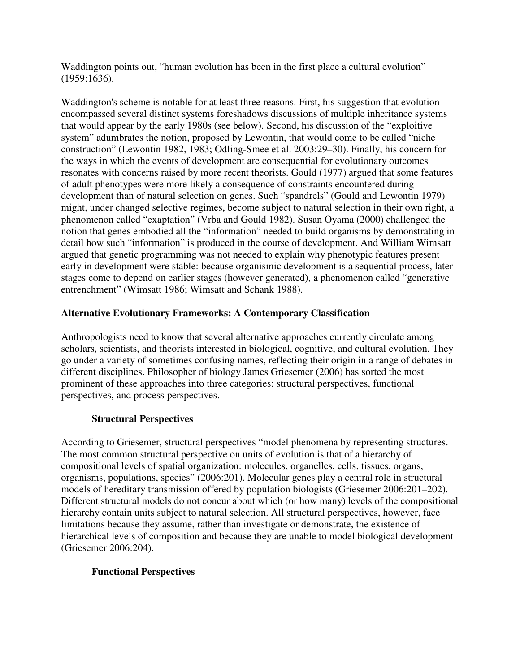Waddington points out, "human evolution has been in the first place a cultural evolution" (1959:1636).

Waddington's scheme is notable for at least three reasons. First, his suggestion that evolution encompassed several distinct systems foreshadows discussions of multiple inheritance systems that would appear by the early 1980s (see below). Second, his discussion of the "exploitive system" adumbrates the notion, proposed by Lewontin, that would come to be called "niche construction" (Lewontin 1982, 1983; Odling-Smee et al. 2003:29–30). Finally, his concern for the ways in which the events of development are consequential for evolutionary outcomes resonates with concerns raised by more recent theorists. Gould (1977) argued that some features of adult phenotypes were more likely a consequence of constraints encountered during development than of natural selection on genes. Such "spandrels" (Gould and Lewontin 1979) might, under changed selective regimes, become subject to natural selection in their own right, a phenomenon called "exaptation" (Vrba and Gould 1982). Susan Oyama (2000) challenged the notion that genes embodied all the "information" needed to build organisms by demonstrating in detail how such "information" is produced in the course of development. And William Wimsatt argued that genetic programming was not needed to explain why phenotypic features present early in development were stable: because organismic development is a sequential process, later stages come to depend on earlier stages (however generated), a phenomenon called "generative entrenchment" (Wimsatt 1986; Wimsatt and Schank 1988).

# **Alternative Evolutionary Frameworks: A Contemporary Classification**

Anthropologists need to know that several alternative approaches currently circulate among scholars, scientists, and theorists interested in biological, cognitive, and cultural evolution. They go under a variety of sometimes confusing names, reflecting their origin in a range of debates in different disciplines. Philosopher of biology James Griesemer (2006) has sorted the most prominent of these approaches into three categories: structural perspectives, functional perspectives, and process perspectives.

# **Structural Perspectives**

According to Griesemer, structural perspectives "model phenomena by representing structures. The most common structural perspective on units of evolution is that of a hierarchy of compositional levels of spatial organization: molecules, organelles, cells, tissues, organs, organisms, populations, species" (2006:201). Molecular genes play a central role in structural models of hereditary transmission offered by population biologists (Griesemer 2006:201–202). Different structural models do not concur about which (or how many) levels of the compositional hierarchy contain units subject to natural selection. All structural perspectives, however, face limitations because they assume, rather than investigate or demonstrate, the existence of hierarchical levels of composition and because they are unable to model biological development (Griesemer 2006:204).

# **Functional Perspectives**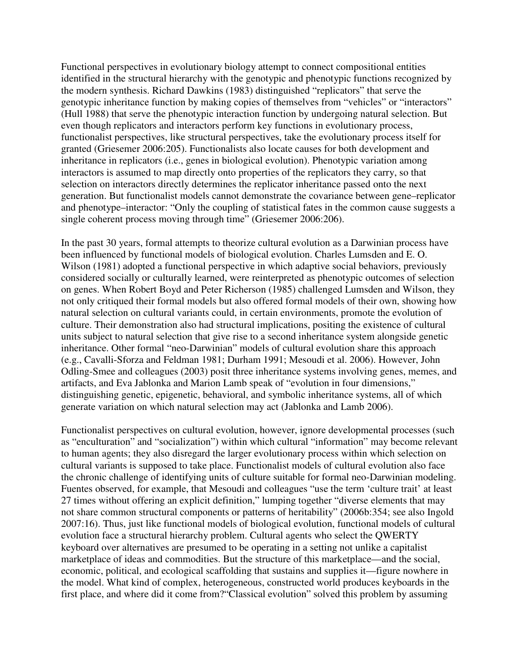Functional perspectives in evolutionary biology attempt to connect compositional entities identified in the structural hierarchy with the genotypic and phenotypic functions recognized by the modern synthesis. Richard Dawkins (1983) distinguished "replicators" that serve the genotypic inheritance function by making copies of themselves from "vehicles" or "interactors" (Hull 1988) that serve the phenotypic interaction function by undergoing natural selection. But even though replicators and interactors perform key functions in evolutionary process, functionalist perspectives, like structural perspectives, take the evolutionary process itself for granted (Griesemer 2006:205). Functionalists also locate causes for both development and inheritance in replicators (i.e., genes in biological evolution). Phenotypic variation among interactors is assumed to map directly onto properties of the replicators they carry, so that selection on interactors directly determines the replicator inheritance passed onto the next generation. But functionalist models cannot demonstrate the covariance between gene–replicator and phenotype–interactor: "Only the coupling of statistical fates in the common cause suggests a single coherent process moving through time" (Griesemer 2006:206).

In the past 30 years, formal attempts to theorize cultural evolution as a Darwinian process have been influenced by functional models of biological evolution. Charles Lumsden and E. O. Wilson (1981) adopted a functional perspective in which adaptive social behaviors, previously considered socially or culturally learned, were reinterpreted as phenotypic outcomes of selection on genes. When Robert Boyd and Peter Richerson (1985) challenged Lumsden and Wilson, they not only critiqued their formal models but also offered formal models of their own, showing how natural selection on cultural variants could, in certain environments, promote the evolution of culture. Their demonstration also had structural implications, positing the existence of cultural units subject to natural selection that give rise to a second inheritance system alongside genetic inheritance. Other formal "neo-Darwinian" models of cultural evolution share this approach (e.g., Cavalli-Sforza and Feldman 1981; Durham 1991; Mesoudi et al. 2006). However, John Odling-Smee and colleagues (2003) posit three inheritance systems involving genes, memes, and artifacts, and Eva Jablonka and Marion Lamb speak of "evolution in four dimensions," distinguishing genetic, epigenetic, behavioral, and symbolic inheritance systems, all of which generate variation on which natural selection may act (Jablonka and Lamb 2006).

Functionalist perspectives on cultural evolution, however, ignore developmental processes (such as "enculturation" and "socialization") within which cultural "information" may become relevant to human agents; they also disregard the larger evolutionary process within which selection on cultural variants is supposed to take place. Functionalist models of cultural evolution also face the chronic challenge of identifying units of culture suitable for formal neo-Darwinian modeling. Fuentes observed, for example, that Mesoudi and colleagues "use the term 'culture trait' at least 27 times without offering an explicit definition," lumping together "diverse elements that may not share common structural components or patterns of heritability" (2006b:354; see also Ingold 2007:16). Thus, just like functional models of biological evolution, functional models of cultural evolution face a structural hierarchy problem. Cultural agents who select the QWERTY keyboard over alternatives are presumed to be operating in a setting not unlike a capitalist marketplace of ideas and commodities. But the structure of this marketplace—and the social, economic, political, and ecological scaffolding that sustains and supplies it—figure nowhere in the model. What kind of complex, heterogeneous, constructed world produces keyboards in the first place, and where did it come from?"Classical evolution" solved this problem by assuming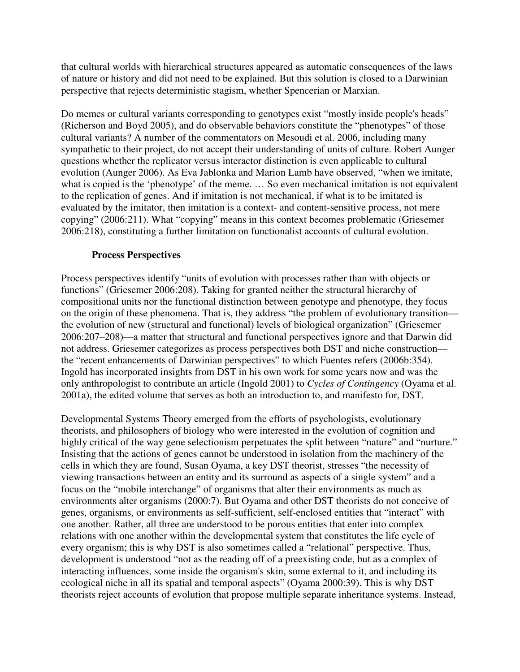that cultural worlds with hierarchical structures appeared as automatic consequences of the laws of nature or history and did not need to be explained. But this solution is closed to a Darwinian perspective that rejects deterministic stagism, whether Spencerian or Marxian.

Do memes or cultural variants corresponding to genotypes exist "mostly inside people's heads" (Richerson and Boyd 2005), and do observable behaviors constitute the "phenotypes" of those cultural variants? A number of the commentators on Mesoudi et al. 2006, including many sympathetic to their project, do not accept their understanding of units of culture. Robert Aunger questions whether the replicator versus interactor distinction is even applicable to cultural evolution (Aunger 2006). As Eva Jablonka and Marion Lamb have observed, "when we imitate, what is copied is the 'phenotype' of the meme. ... So even mechanical imitation is not equivalent to the replication of genes. And if imitation is not mechanical, if what is to be imitated is evaluated by the imitator, then imitation is a context- and content-sensitive process, not mere copying" (2006:211). What "copying" means in this context becomes problematic (Griesemer 2006:218), constituting a further limitation on functionalist accounts of cultural evolution.

#### **Process Perspectives**

Process perspectives identify "units of evolution with processes rather than with objects or functions" (Griesemer 2006:208). Taking for granted neither the structural hierarchy of compositional units nor the functional distinction between genotype and phenotype, they focus on the origin of these phenomena. That is, they address "the problem of evolutionary transition the evolution of new (structural and functional) levels of biological organization" (Griesemer 2006:207–208)—a matter that structural and functional perspectives ignore and that Darwin did not address. Griesemer categorizes as process perspectives both DST and niche construction the "recent enhancements of Darwinian perspectives" to which Fuentes refers (2006b:354). Ingold has incorporated insights from DST in his own work for some years now and was the only anthropologist to contribute an article (Ingold 2001) to *Cycles of Contingency* (Oyama et al. 2001a), the edited volume that serves as both an introduction to, and manifesto for, DST.

Developmental Systems Theory emerged from the efforts of psychologists, evolutionary theorists, and philosophers of biology who were interested in the evolution of cognition and highly critical of the way gene selectionism perpetuates the split between "nature" and "nurture." Insisting that the actions of genes cannot be understood in isolation from the machinery of the cells in which they are found, Susan Oyama, a key DST theorist, stresses "the necessity of viewing transactions between an entity and its surround as aspects of a single system" and a focus on the "mobile interchange" of organisms that alter their environments as much as environments alter organisms (2000:7). But Oyama and other DST theorists do not conceive of genes, organisms, or environments as self-sufficient, self-enclosed entities that "interact" with one another. Rather, all three are understood to be porous entities that enter into complex relations with one another within the developmental system that constitutes the life cycle of every organism; this is why DST is also sometimes called a "relational" perspective. Thus, development is understood "not as the reading off of a preexisting code, but as a complex of interacting influences, some inside the organism's skin, some external to it, and including its ecological niche in all its spatial and temporal aspects" (Oyama 2000:39). This is why DST theorists reject accounts of evolution that propose multiple separate inheritance systems. Instead,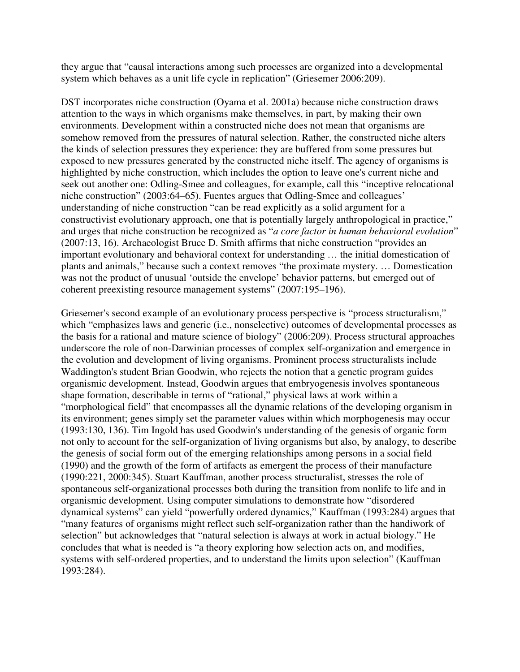they argue that "causal interactions among such processes are organized into a developmental system which behaves as a unit life cycle in replication" (Griesemer 2006:209).

DST incorporates niche construction (Oyama et al. 2001a) because niche construction draws attention to the ways in which organisms make themselves, in part, by making their own environments. Development within a constructed niche does not mean that organisms are somehow removed from the pressures of natural selection. Rather, the constructed niche alters the kinds of selection pressures they experience: they are buffered from some pressures but exposed to new pressures generated by the constructed niche itself. The agency of organisms is highlighted by niche construction, which includes the option to leave one's current niche and seek out another one: Odling-Smee and colleagues, for example, call this "inceptive relocational niche construction" (2003:64–65). Fuentes argues that Odling-Smee and colleagues' understanding of niche construction "can be read explicitly as a solid argument for a constructivist evolutionary approach, one that is potentially largely anthropological in practice," and urges that niche construction be recognized as "*a core factor in human behavioral evolution*" (2007:13, 16). Archaeologist Bruce D. Smith affirms that niche construction "provides an important evolutionary and behavioral context for understanding … the initial domestication of plants and animals," because such a context removes "the proximate mystery. … Domestication was not the product of unusual 'outside the envelope' behavior patterns, but emerged out of coherent preexisting resource management systems" (2007:195–196).

Griesemer's second example of an evolutionary process perspective is "process structuralism," which "emphasizes laws and generic (i.e., nonselective) outcomes of developmental processes as the basis for a rational and mature science of biology" (2006:209). Process structural approaches underscore the role of non-Darwinian processes of complex self-organization and emergence in the evolution and development of living organisms. Prominent process structuralists include Waddington's student Brian Goodwin, who rejects the notion that a genetic program guides organismic development. Instead, Goodwin argues that embryogenesis involves spontaneous shape formation, describable in terms of "rational," physical laws at work within a "morphological field" that encompasses all the dynamic relations of the developing organism in its environment; genes simply set the parameter values within which morphogenesis may occur (1993:130, 136). Tim Ingold has used Goodwin's understanding of the genesis of organic form not only to account for the self-organization of living organisms but also, by analogy, to describe the genesis of social form out of the emerging relationships among persons in a social field (1990) and the growth of the form of artifacts as emergent the process of their manufacture (1990:221, 2000:345). Stuart Kauffman, another process structuralist, stresses the role of spontaneous self-organizational processes both during the transition from nonlife to life and in organismic development. Using computer simulations to demonstrate how "disordered dynamical systems" can yield "powerfully ordered dynamics," Kauffman (1993:284) argues that "many features of organisms might reflect such self-organization rather than the handiwork of selection" but acknowledges that "natural selection is always at work in actual biology." He concludes that what is needed is "a theory exploring how selection acts on, and modifies, systems with self-ordered properties, and to understand the limits upon selection" (Kauffman 1993:284).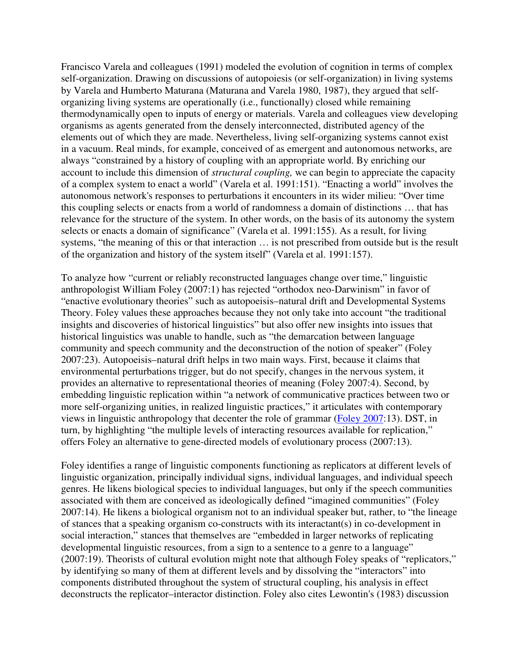Francisco Varela and colleagues (1991) modeled the evolution of cognition in terms of complex self-organization. Drawing on discussions of autopoiesis (or self-organization) in living systems by Varela and Humberto Maturana (Maturana and Varela 1980, 1987), they argued that selforganizing living systems are operationally (i.e., functionally) closed while remaining thermodynamically open to inputs of energy or materials. Varela and colleagues view developing organisms as agents generated from the densely interconnected, distributed agency of the elements out of which they are made. Nevertheless, living self-organizing systems cannot exist in a vacuum. Real minds, for example, conceived of as emergent and autonomous networks, are always "constrained by a history of coupling with an appropriate world. By enriching our account to include this dimension of *structural coupling,* we can begin to appreciate the capacity of a complex system to enact a world" (Varela et al. 1991:151). "Enacting a world" involves the autonomous network's responses to perturbations it encounters in its wider milieu: "Over time this coupling selects or enacts from a world of randomness a domain of distinctions … that has relevance for the structure of the system. In other words, on the basis of its autonomy the system selects or enacts a domain of significance" (Varela et al. 1991:155). As a result, for living systems, "the meaning of this or that interaction … is not prescribed from outside but is the result of the organization and history of the system itself" (Varela et al. 1991:157).

To analyze how "current or reliably reconstructed languages change over time," linguistic anthropologist William Foley (2007:1) has rejected "orthodox neo-Darwinism" in favor of "enactive evolutionary theories" such as autopoeisis–natural drift and Developmental Systems Theory. Foley values these approaches because they not only take into account "the traditional insights and discoveries of historical linguistics" but also offer new insights into issues that historical linguistics was unable to handle, such as "the demarcation between language community and speech community and the deconstruction of the notion of speaker" (Foley 2007:23). Autopoeisis–natural drift helps in two main ways. First, because it claims that environmental perturbations trigger, but do not specify, changes in the nervous system, it provides an alternative to representational theories of meaning (Foley 2007:4). Second, by embedding linguistic replication within "a network of communicative practices between two or more self-organizing unities, in realized linguistic practices," it articulates with contemporary views in linguistic anthropology that decenter the role of grammar (Foley 2007:13). DST, in turn, by highlighting "the multiple levels of interacting resources available for replication," offers Foley an alternative to gene-directed models of evolutionary process (2007:13).

Foley identifies a range of linguistic components functioning as replicators at different levels of linguistic organization, principally individual signs, individual languages, and individual speech genres. He likens biological species to individual languages, but only if the speech communities associated with them are conceived as ideologically defined "imagined communities" (Foley 2007:14). He likens a biological organism not to an individual speaker but, rather, to "the lineage of stances that a speaking organism co-constructs with its interactant(s) in co-development in social interaction," stances that themselves are "embedded in larger networks of replicating developmental linguistic resources, from a sign to a sentence to a genre to a language" (2007:19). Theorists of cultural evolution might note that although Foley speaks of "replicators," by identifying so many of them at different levels and by dissolving the "interactors" into components distributed throughout the system of structural coupling, his analysis in effect deconstructs the replicator–interactor distinction. Foley also cites Lewontin's (1983) discussion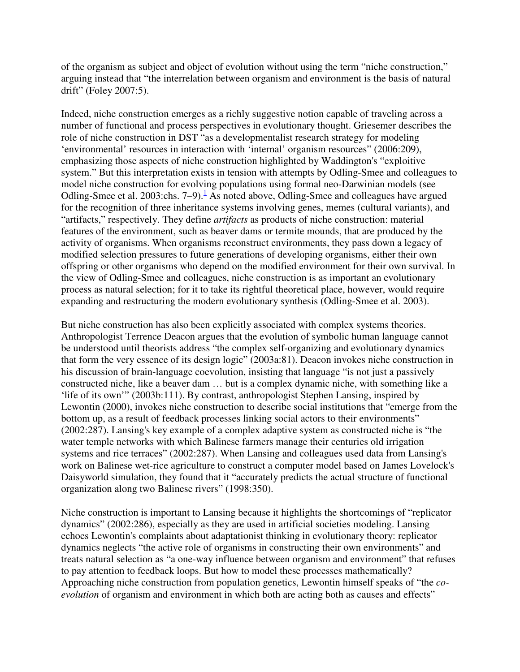of the organism as subject and object of evolution without using the term "niche construction," arguing instead that "the interrelation between organism and environment is the basis of natural drift" (Foley 2007:5).

Indeed, niche construction emerges as a richly suggestive notion capable of traveling across a number of functional and process perspectives in evolutionary thought. Griesemer describes the role of niche construction in DST "as a developmentalist research strategy for modeling 'environmental' resources in interaction with 'internal' organism resources" (2006:209), emphasizing those aspects of niche construction highlighted by Waddington's "exploitive system." But this interpretation exists in tension with attempts by Odling-Smee and colleagues to model niche construction for evolving populations using formal neo-Darwinian models (see Odling-Smee et al. 2003:chs.  $7-9$ ).<sup>1</sup> As noted above, Odling-Smee and colleagues have argued for the recognition of three inheritance systems involving genes, memes (cultural variants), and "artifacts," respectively. They define *artifacts* as products of niche construction: material features of the environment, such as beaver dams or termite mounds, that are produced by the activity of organisms. When organisms reconstruct environments, they pass down a legacy of modified selection pressures to future generations of developing organisms, either their own offspring or other organisms who depend on the modified environment for their own survival. In the view of Odling-Smee and colleagues, niche construction is as important an evolutionary process as natural selection; for it to take its rightful theoretical place, however, would require expanding and restructuring the modern evolutionary synthesis (Odling-Smee et al. 2003).

But niche construction has also been explicitly associated with complex systems theories. Anthropologist Terrence Deacon argues that the evolution of symbolic human language cannot be understood until theorists address "the complex self-organizing and evolutionary dynamics that form the very essence of its design logic" (2003a:81). Deacon invokes niche construction in his discussion of brain-language coevolution, insisting that language "is not just a passively constructed niche, like a beaver dam … but is a complex dynamic niche, with something like a 'life of its own'" (2003b:111). By contrast, anthropologist Stephen Lansing, inspired by Lewontin (2000), invokes niche construction to describe social institutions that "emerge from the bottom up, as a result of feedback processes linking social actors to their environments" (2002:287). Lansing's key example of a complex adaptive system as constructed niche is "the water temple networks with which Balinese farmers manage their centuries old irrigation systems and rice terraces" (2002:287). When Lansing and colleagues used data from Lansing's work on Balinese wet-rice agriculture to construct a computer model based on James Lovelock's Daisyworld simulation, they found that it "accurately predicts the actual structure of functional organization along two Balinese rivers" (1998:350).

Niche construction is important to Lansing because it highlights the shortcomings of "replicator dynamics" (2002:286), especially as they are used in artificial societies modeling. Lansing echoes Lewontin's complaints about adaptationist thinking in evolutionary theory: replicator dynamics neglects "the active role of organisms in constructing their own environments" and treats natural selection as "a one-way influence between organism and environment" that refuses to pay attention to feedback loops. But how to model these processes mathematically? Approaching niche construction from population genetics, Lewontin himself speaks of "the *coevolution* of organism and environment in which both are acting both as causes and effects"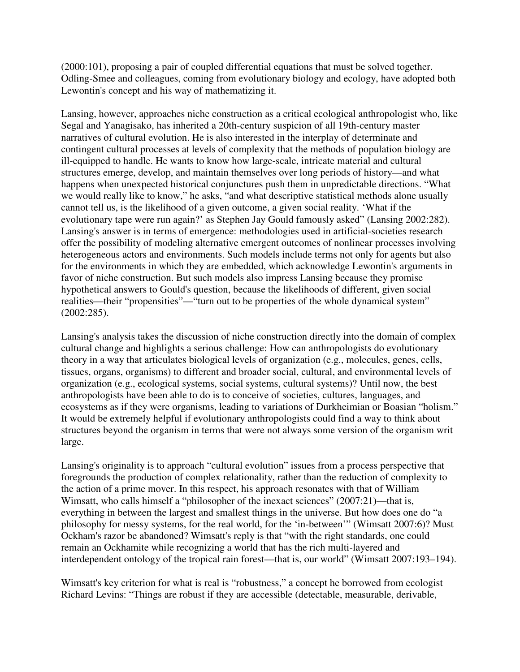(2000:101), proposing a pair of coupled differential equations that must be solved together. Odling-Smee and colleagues, coming from evolutionary biology and ecology, have adopted both Lewontin's concept and his way of mathematizing it.

Lansing, however, approaches niche construction as a critical ecological anthropologist who, like Segal and Yanagisako, has inherited a 20th-century suspicion of all 19th-century master narratives of cultural evolution. He is also interested in the interplay of determinate and contingent cultural processes at levels of complexity that the methods of population biology are ill-equipped to handle. He wants to know how large-scale, intricate material and cultural structures emerge, develop, and maintain themselves over long periods of history—and what happens when unexpected historical conjunctures push them in unpredictable directions. "What we would really like to know," he asks, "and what descriptive statistical methods alone usually cannot tell us, is the likelihood of a given outcome, a given social reality. 'What if the evolutionary tape were run again?' as Stephen Jay Gould famously asked" (Lansing 2002:282). Lansing's answer is in terms of emergence: methodologies used in artificial-societies research offer the possibility of modeling alternative emergent outcomes of nonlinear processes involving heterogeneous actors and environments. Such models include terms not only for agents but also for the environments in which they are embedded, which acknowledge Lewontin's arguments in favor of niche construction. But such models also impress Lansing because they promise hypothetical answers to Gould's question, because the likelihoods of different, given social realities—their "propensities"—"turn out to be properties of the whole dynamical system" (2002:285).

Lansing's analysis takes the discussion of niche construction directly into the domain of complex cultural change and highlights a serious challenge: How can anthropologists do evolutionary theory in a way that articulates biological levels of organization (e.g., molecules, genes, cells, tissues, organs, organisms) to different and broader social, cultural, and environmental levels of organization (e.g., ecological systems, social systems, cultural systems)? Until now, the best anthropologists have been able to do is to conceive of societies, cultures, languages, and ecosystems as if they were organisms, leading to variations of Durkheimian or Boasian "holism." It would be extremely helpful if evolutionary anthropologists could find a way to think about structures beyond the organism in terms that were not always some version of the organism writ large.

Lansing's originality is to approach "cultural evolution" issues from a process perspective that foregrounds the production of complex relationality, rather than the reduction of complexity to the action of a prime mover. In this respect, his approach resonates with that of William Wimsatt, who calls himself a "philosopher of the inexact sciences" (2007:21)—that is, everything in between the largest and smallest things in the universe. But how does one do "a philosophy for messy systems, for the real world, for the 'in-between'" (Wimsatt 2007:6)? Must Ockham's razor be abandoned? Wimsatt's reply is that "with the right standards, one could remain an Ockhamite while recognizing a world that has the rich multi-layered and interdependent ontology of the tropical rain forest—that is, our world" (Wimsatt 2007:193–194).

Wimsatt's key criterion for what is real is "robustness," a concept he borrowed from ecologist Richard Levins: "Things are robust if they are accessible (detectable, measurable, derivable,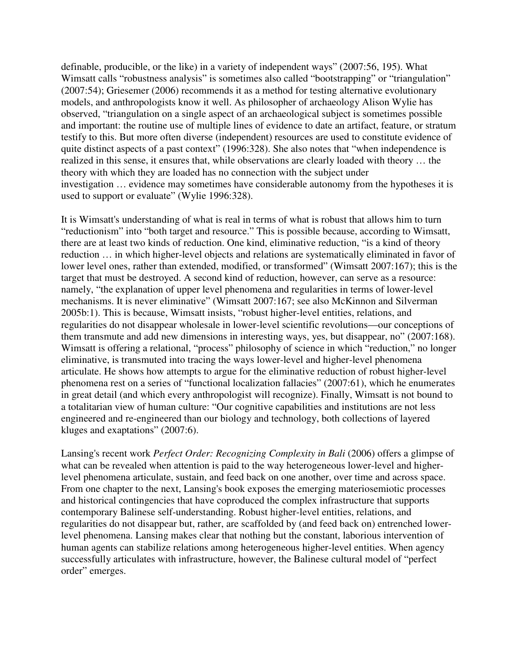definable, producible, or the like) in a variety of independent ways" (2007:56, 195). What Wimsatt calls "robustness analysis" is sometimes also called "bootstrapping" or "triangulation" (2007:54); Griesemer (2006) recommends it as a method for testing alternative evolutionary models, and anthropologists know it well. As philosopher of archaeology Alison Wylie has observed, "triangulation on a single aspect of an archaeological subject is sometimes possible and important: the routine use of multiple lines of evidence to date an artifact, feature, or stratum testify to this. But more often diverse (independent) resources are used to constitute evidence of quite distinct aspects of a past context" (1996:328). She also notes that "when independence is realized in this sense, it ensures that, while observations are clearly loaded with theory … the theory with which they are loaded has no connection with the subject under investigation … evidence may sometimes have considerable autonomy from the hypotheses it is used to support or evaluate" (Wylie 1996:328).

It is Wimsatt's understanding of what is real in terms of what is robust that allows him to turn "reductionism" into "both target and resource." This is possible because, according to Wimsatt, there are at least two kinds of reduction. One kind, eliminative reduction, "is a kind of theory reduction … in which higher-level objects and relations are systematically eliminated in favor of lower level ones, rather than extended, modified, or transformed" (Wimsatt 2007:167); this is the target that must be destroyed. A second kind of reduction, however, can serve as a resource: namely, "the explanation of upper level phenomena and regularities in terms of lower-level mechanisms. It is never eliminative" (Wimsatt 2007:167; see also McKinnon and Silverman 2005b:1). This is because, Wimsatt insists, "robust higher-level entities, relations, and regularities do not disappear wholesale in lower-level scientific revolutions—our conceptions of them transmute and add new dimensions in interesting ways, yes, but disappear, no" (2007:168). Wimsatt is offering a relational, "process" philosophy of science in which "reduction," no longer eliminative, is transmuted into tracing the ways lower-level and higher-level phenomena articulate. He shows how attempts to argue for the eliminative reduction of robust higher-level phenomena rest on a series of "functional localization fallacies" (2007:61), which he enumerates in great detail (and which every anthropologist will recognize). Finally, Wimsatt is not bound to a totalitarian view of human culture: "Our cognitive capabilities and institutions are not less engineered and re-engineered than our biology and technology, both collections of layered kluges and exaptations" (2007:6).

Lansing's recent work *Perfect Order: Recognizing Complexity in Bali* (2006) offers a glimpse of what can be revealed when attention is paid to the way heterogeneous lower-level and higherlevel phenomena articulate, sustain, and feed back on one another, over time and across space. From one chapter to the next, Lansing's book exposes the emerging materiosemiotic processes and historical contingencies that have coproduced the complex infrastructure that supports contemporary Balinese self-understanding. Robust higher-level entities, relations, and regularities do not disappear but, rather, are scaffolded by (and feed back on) entrenched lowerlevel phenomena. Lansing makes clear that nothing but the constant, laborious intervention of human agents can stabilize relations among heterogeneous higher-level entities. When agency successfully articulates with infrastructure, however, the Balinese cultural model of "perfect order" emerges.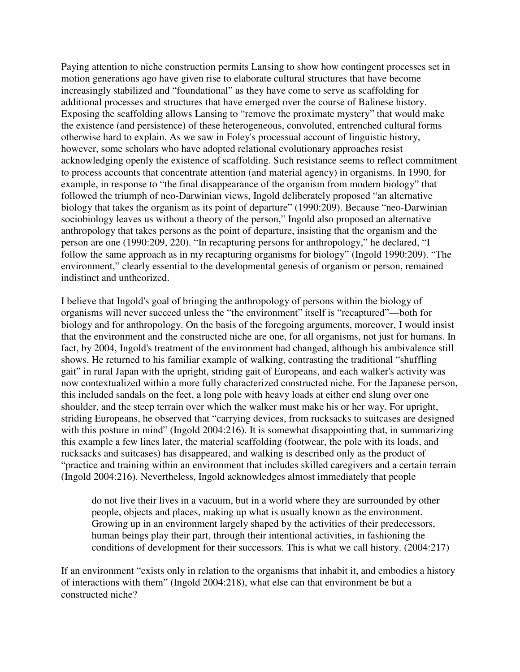Paying attention to niche construction permits Lansing to show how contingent processes set in motion generations ago have given rise to elaborate cultural structures that have become increasingly stabilized and "foundational" as they have come to serve as scaffolding for additional processes and structures that have emerged over the course of Balinese history. Exposing the scaffolding allows Lansing to "remove the proximate mystery" that would make the existence (and persistence) of these heterogeneous, convoluted, entrenched cultural forms otherwise hard to explain. As we saw in Foley's processual account of linguistic history, however, some scholars who have adopted relational evolutionary approaches resist acknowledging openly the existence of scaffolding. Such resistance seems to reflect commitment to process accounts that concentrate attention (and material agency) in organisms. In 1990, for example, in response to "the final disappearance of the organism from modern biology" that followed the triumph of neo-Darwinian views, Ingold deliberately proposed "an alternative biology that takes the organism as its point of departure" (1990:209). Because "neo-Darwinian sociobiology leaves us without a theory of the person," Ingold also proposed an alternative anthropology that takes persons as the point of departure, insisting that the organism and the person are one (1990:209, 220). "In recapturing persons for anthropology," he declared, "I follow the same approach as in my recapturing organisms for biology" (Ingold 1990:209). "The environment," clearly essential to the developmental genesis of organism or person, remained indistinct and untheorized.

I believe that Ingold's goal of bringing the anthropology of persons within the biology of organisms will never succeed unless the "the environment" itself is "recaptured"—both for biology and for anthropology. On the basis of the foregoing arguments, moreover, I would insist that the environment and the constructed niche are one, for all organisms, not just for humans. In fact, by 2004, Ingold's treatment of the environment had changed, although his ambivalence still shows. He returned to his familiar example of walking, contrasting the traditional "shuffling gait" in rural Japan with the upright, striding gait of Europeans, and each walker's activity was now contextualized within a more fully characterized constructed niche. For the Japanese person, this included sandals on the feet, a long pole with heavy loads at either end slung over one shoulder, and the steep terrain over which the walker must make his or her way. For upright, striding Europeans, he observed that "carrying devices, from rucksacks to suitcases are designed with this posture in mind" (Ingold 2004:216). It is somewhat disappointing that, in summarizing this example a few lines later, the material scaffolding (footwear, the pole with its loads, and rucksacks and suitcases) has disappeared, and walking is described only as the product of "practice and training within an environment that includes skilled caregivers and a certain terrain (Ingold 2004:216). Nevertheless, Ingold acknowledges almost immediately that people

do not live their lives in a vacuum, but in a world where they are surrounded by other people, objects and places, making up what is usually known as the environment. Growing up in an environment largely shaped by the activities of their predecessors, human beings play their part, through their intentional activities, in fashioning the conditions of development for their successors. This is what we call history. (2004:217)

If an environment "exists only in relation to the organisms that inhabit it, and embodies a history of interactions with them" (Ingold 2004:218), what else can that environment be but a constructed niche?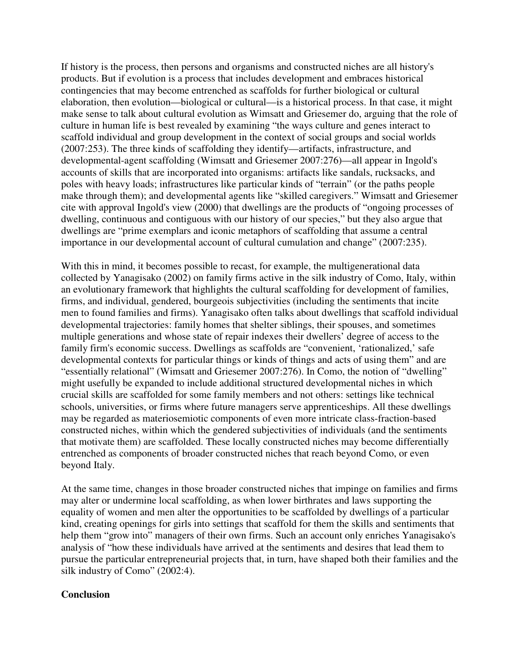If history is the process, then persons and organisms and constructed niches are all history's products. But if evolution is a process that includes development and embraces historical contingencies that may become entrenched as scaffolds for further biological or cultural elaboration, then evolution—biological or cultural—is a historical process. In that case, it might make sense to talk about cultural evolution as Wimsatt and Griesemer do, arguing that the role of culture in human life is best revealed by examining "the ways culture and genes interact to scaffold individual and group development in the context of social groups and social worlds (2007:253). The three kinds of scaffolding they identify—artifacts, infrastructure, and developmental-agent scaffolding (Wimsatt and Griesemer 2007:276)—all appear in Ingold's accounts of skills that are incorporated into organisms: artifacts like sandals, rucksacks, and poles with heavy loads; infrastructures like particular kinds of "terrain" (or the paths people make through them); and developmental agents like "skilled caregivers." Wimsatt and Griesemer cite with approval Ingold's view (2000) that dwellings are the products of "ongoing processes of dwelling, continuous and contiguous with our history of our species," but they also argue that dwellings are "prime exemplars and iconic metaphors of scaffolding that assume a central importance in our developmental account of cultural cumulation and change" (2007:235).

With this in mind, it becomes possible to recast, for example, the multigenerational data collected by Yanagisako (2002) on family firms active in the silk industry of Como, Italy, within an evolutionary framework that highlights the cultural scaffolding for development of families, firms, and individual, gendered, bourgeois subjectivities (including the sentiments that incite men to found families and firms). Yanagisako often talks about dwellings that scaffold individual developmental trajectories: family homes that shelter siblings, their spouses, and sometimes multiple generations and whose state of repair indexes their dwellers' degree of access to the family firm's economic success. Dwellings as scaffolds are "convenient, 'rationalized,' safe developmental contexts for particular things or kinds of things and acts of using them" and are "essentially relational" (Wimsatt and Griesemer 2007:276). In Como, the notion of "dwelling" might usefully be expanded to include additional structured developmental niches in which crucial skills are scaffolded for some family members and not others: settings like technical schools, universities, or firms where future managers serve apprenticeships. All these dwellings may be regarded as materiosemiotic components of even more intricate class-fraction-based constructed niches, within which the gendered subjectivities of individuals (and the sentiments that motivate them) are scaffolded. These locally constructed niches may become differentially entrenched as components of broader constructed niches that reach beyond Como, or even beyond Italy.

At the same time, changes in those broader constructed niches that impinge on families and firms may alter or undermine local scaffolding, as when lower birthrates and laws supporting the equality of women and men alter the opportunities to be scaffolded by dwellings of a particular kind, creating openings for girls into settings that scaffold for them the skills and sentiments that help them "grow into" managers of their own firms. Such an account only enriches Yanagisako's analysis of "how these individuals have arrived at the sentiments and desires that lead them to pursue the particular entrepreneurial projects that, in turn, have shaped both their families and the silk industry of Como" (2002:4).

#### **Conclusion**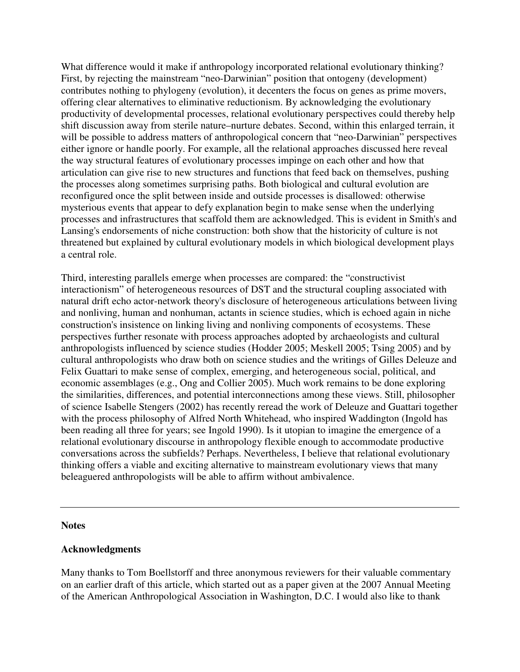What difference would it make if anthropology incorporated relational evolutionary thinking? First, by rejecting the mainstream "neo-Darwinian" position that ontogeny (development) contributes nothing to phylogeny (evolution), it decenters the focus on genes as prime movers, offering clear alternatives to eliminative reductionism. By acknowledging the evolutionary productivity of developmental processes, relational evolutionary perspectives could thereby help shift discussion away from sterile nature–nurture debates. Second, within this enlarged terrain, it will be possible to address matters of anthropological concern that "neo-Darwinian" perspectives either ignore or handle poorly. For example, all the relational approaches discussed here reveal the way structural features of evolutionary processes impinge on each other and how that articulation can give rise to new structures and functions that feed back on themselves, pushing the processes along sometimes surprising paths. Both biological and cultural evolution are reconfigured once the split between inside and outside processes is disallowed: otherwise mysterious events that appear to defy explanation begin to make sense when the underlying processes and infrastructures that scaffold them are acknowledged. This is evident in Smith's and Lansing's endorsements of niche construction: both show that the historicity of culture is not threatened but explained by cultural evolutionary models in which biological development plays a central role.

Third, interesting parallels emerge when processes are compared: the "constructivist interactionism" of heterogeneous resources of DST and the structural coupling associated with natural drift echo actor-network theory's disclosure of heterogeneous articulations between living and nonliving, human and nonhuman, actants in science studies, which is echoed again in niche construction's insistence on linking living and nonliving components of ecosystems. These perspectives further resonate with process approaches adopted by archaeologists and cultural anthropologists influenced by science studies (Hodder 2005; Meskell 2005; Tsing 2005) and by cultural anthropologists who draw both on science studies and the writings of Gilles Deleuze and Felix Guattari to make sense of complex, emerging, and heterogeneous social, political, and economic assemblages (e.g., Ong and Collier 2005). Much work remains to be done exploring the similarities, differences, and potential interconnections among these views. Still, philosopher of science Isabelle Stengers (2002) has recently reread the work of Deleuze and Guattari together with the process philosophy of Alfred North Whitehead, who inspired Waddington (Ingold has been reading all three for years; see Ingold 1990). Is it utopian to imagine the emergence of a relational evolutionary discourse in anthropology flexible enough to accommodate productive conversations across the subfields? Perhaps. Nevertheless, I believe that relational evolutionary thinking offers a viable and exciting alternative to mainstream evolutionary views that many beleaguered anthropologists will be able to affirm without ambivalence.

#### **Notes**

#### **Acknowledgments**

Many thanks to Tom Boellstorff and three anonymous reviewers for their valuable commentary on an earlier draft of this article, which started out as a paper given at the 2007 Annual Meeting of the American Anthropological Association in Washington, D.C. I would also like to thank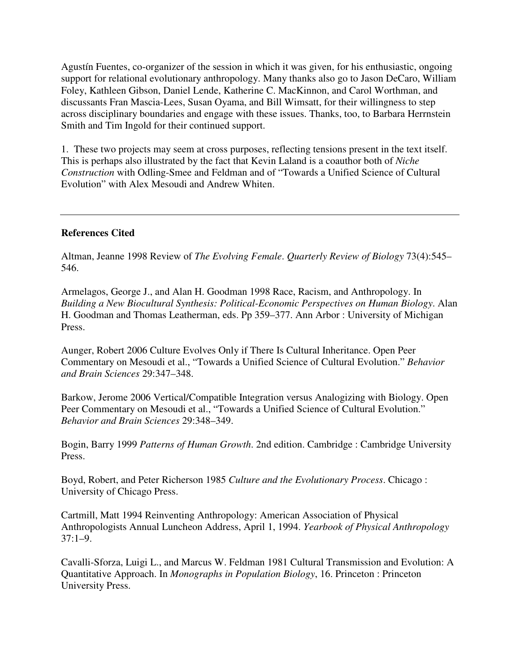Agustín Fuentes, co-organizer of the session in which it was given, for his enthusiastic, ongoing support for relational evolutionary anthropology. Many thanks also go to Jason DeCaro, William Foley, Kathleen Gibson, Daniel Lende, Katherine C. MacKinnon, and Carol Worthman, and discussants Fran Mascia-Lees, Susan Oyama, and Bill Wimsatt, for their willingness to step across disciplinary boundaries and engage with these issues. Thanks, too, to Barbara Herrnstein Smith and Tim Ingold for their continued support.

1. These two projects may seem at cross purposes, reflecting tensions present in the text itself. This is perhaps also illustrated by the fact that Kevin Laland is a coauthor both of *Niche Construction* with Odling-Smee and Feldman and of "Towards a Unified Science of Cultural Evolution" with Alex Mesoudi and Andrew Whiten.

#### **References Cited**

Altman, Jeanne 1998 Review of *The Evolving Female*. *Quarterly Review of Biology* 73(4):545– 546.

Armelagos, George J., and Alan H. Goodman 1998 Race, Racism, and Anthropology. In *Building a New Biocultural Synthesis: Political-Economic Perspectives on Human Biology*. Alan H. Goodman and Thomas Leatherman, eds. Pp 359–377. Ann Arbor : University of Michigan Press.

Aunger, Robert 2006 Culture Evolves Only if There Is Cultural Inheritance. Open Peer Commentary on Mesoudi et al., "Towards a Unified Science of Cultural Evolution." *Behavior and Brain Sciences* 29:347–348.

Barkow, Jerome 2006 Vertical/Compatible Integration versus Analogizing with Biology. Open Peer Commentary on Mesoudi et al., "Towards a Unified Science of Cultural Evolution." *Behavior and Brain Sciences* 29:348–349.

Bogin, Barry 1999 *Patterns of Human Growth*. 2nd edition. Cambridge : Cambridge University Press.

Boyd, Robert, and Peter Richerson 1985 *Culture and the Evolutionary Process*. Chicago : University of Chicago Press.

Cartmill, Matt 1994 Reinventing Anthropology: American Association of Physical Anthropologists Annual Luncheon Address, April 1, 1994. *Yearbook of Physical Anthropology*  $37:1-9.$ 

Cavalli-Sforza, Luigi L., and Marcus W. Feldman 1981 Cultural Transmission and Evolution: A Quantitative Approach. In *Monographs in Population Biology*, 16. Princeton : Princeton University Press.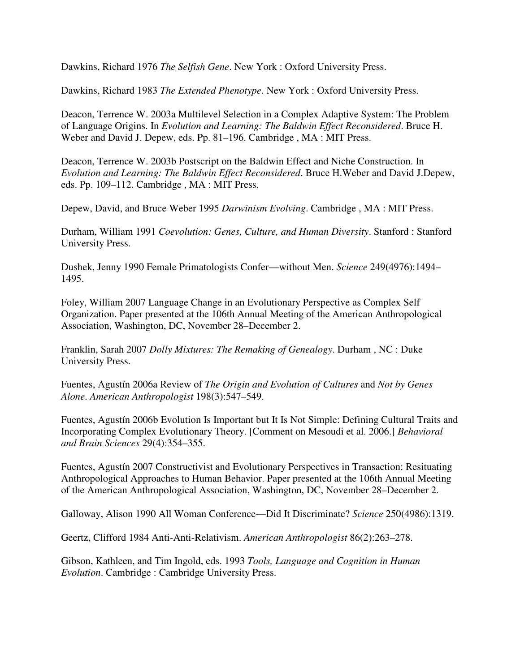Dawkins, Richard 1976 *The Selfish Gene*. New York : Oxford University Press.

Dawkins, Richard 1983 *The Extended Phenotype*. New York : Oxford University Press.

Deacon, Terrence W. 2003a Multilevel Selection in a Complex Adaptive System: The Problem of Language Origins. In *Evolution and Learning: The Baldwin Effect Reconsidered*. Bruce H. Weber and David J. Depew, eds. Pp. 81–196. Cambridge , MA : MIT Press.

Deacon, Terrence W. 2003b Postscript on the Baldwin Effect and Niche Construction. In *Evolution and Learning: The Baldwin Effect Reconsidered*. Bruce H.Weber and David J.Depew, eds. Pp. 109–112. Cambridge , MA : MIT Press.

Depew, David, and Bruce Weber 1995 *Darwinism Evolving*. Cambridge , MA : MIT Press.

Durham, William 1991 *Coevolution: Genes, Culture, and Human Diversity*. Stanford : Stanford University Press.

Dushek, Jenny 1990 Female Primatologists Confer—without Men. *Science* 249(4976):1494– 1495.

Foley, William 2007 Language Change in an Evolutionary Perspective as Complex Self Organization. Paper presented at the 106th Annual Meeting of the American Anthropological Association, Washington, DC, November 28–December 2.

Franklin, Sarah 2007 *Dolly Mixtures: The Remaking of Genealogy*. Durham , NC : Duke University Press.

Fuentes, Agustín 2006a Review of *The Origin and Evolution of Cultures* and *Not by Genes Alone*. *American Anthropologist* 198(3):547–549.

Fuentes, Agustín 2006b Evolution Is Important but It Is Not Simple: Defining Cultural Traits and Incorporating Complex Evolutionary Theory. [Comment on Mesoudi et al. 2006.] *Behavioral and Brain Sciences* 29(4):354–355.

Fuentes, Agustín 2007 Constructivist and Evolutionary Perspectives in Transaction: Resituating Anthropological Approaches to Human Behavior. Paper presented at the 106th Annual Meeting of the American Anthropological Association, Washington, DC, November 28–December 2.

Galloway, Alison 1990 All Woman Conference—Did It Discriminate? *Science* 250(4986):1319.

Geertz, Clifford 1984 Anti-Anti-Relativism. *American Anthropologist* 86(2):263–278.

Gibson, Kathleen, and Tim Ingold, eds. 1993 *Tools, Language and Cognition in Human Evolution*. Cambridge : Cambridge University Press.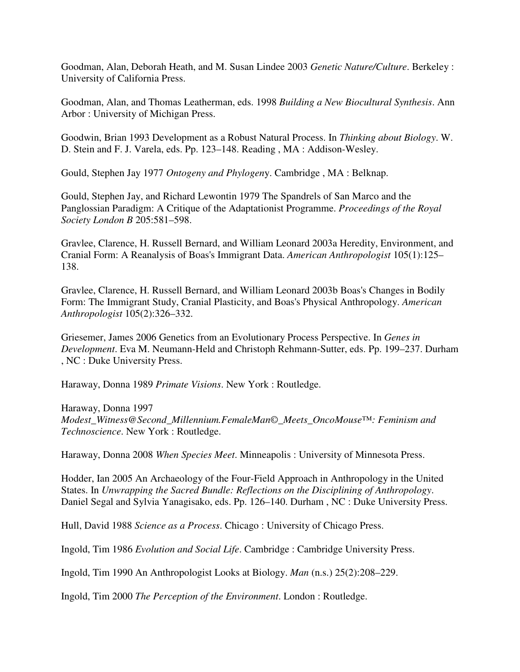Goodman, Alan, Deborah Heath, and M. Susan Lindee 2003 *Genetic Nature/Culture*. Berkeley : University of California Press.

Goodman, Alan, and Thomas Leatherman, eds. 1998 *Building a New Biocultural Synthesis*. Ann Arbor : University of Michigan Press.

Goodwin, Brian 1993 Development as a Robust Natural Process. In *Thinking about Biology*. W. D. Stein and F. J. Varela, eds. Pp. 123–148. Reading , MA : Addison-Wesley.

Gould, Stephen Jay 1977 *Ontogeny and Phylogen*y. Cambridge , MA : Belknap.

Gould, Stephen Jay, and Richard Lewontin 1979 The Spandrels of San Marco and the Panglossian Paradigm: A Critique of the Adaptationist Programme. *Proceedings of the Royal Society London B* 205:581–598.

Gravlee, Clarence, H. Russell Bernard, and William Leonard 2003a Heredity, Environment, and Cranial Form: A Reanalysis of Boas's Immigrant Data. *American Anthropologist* 105(1):125– 138.

Gravlee, Clarence, H. Russell Bernard, and William Leonard 2003b Boas's Changes in Bodily Form: The Immigrant Study, Cranial Plasticity, and Boas's Physical Anthropology. *American Anthropologist* 105(2):326–332.

Griesemer, James 2006 Genetics from an Evolutionary Process Perspective. In *Genes in Development*. Eva M. Neumann-Held and Christoph Rehmann-Sutter, eds. Pp. 199–237. Durham , NC : Duke University Press.

Haraway, Donna 1989 *Primate Visions*. New York : Routledge.

Haraway, Donna 1997 *Modest\_Witness@Second\_Millennium.FemaleMan©\_Meets\_OncoMouse™: Feminism and Technoscience*. New York : Routledge.

Haraway, Donna 2008 *When Species Meet*. Minneapolis : University of Minnesota Press.

Hodder, Ian 2005 An Archaeology of the Four-Field Approach in Anthropology in the United States. In *Unwrapping the Sacred Bundle: Reflections on the Disciplining of Anthropology*. Daniel Segal and Sylvia Yanagisako, eds. Pp. 126–140. Durham , NC : Duke University Press.

Hull, David 1988 *Science as a Process*. Chicago : University of Chicago Press.

Ingold, Tim 1986 *Evolution and Social Life*. Cambridge : Cambridge University Press.

Ingold, Tim 1990 An Anthropologist Looks at Biology. *Man* (n.s.) 25(2):208–229.

Ingold, Tim 2000 *The Perception of the Environment*. London : Routledge.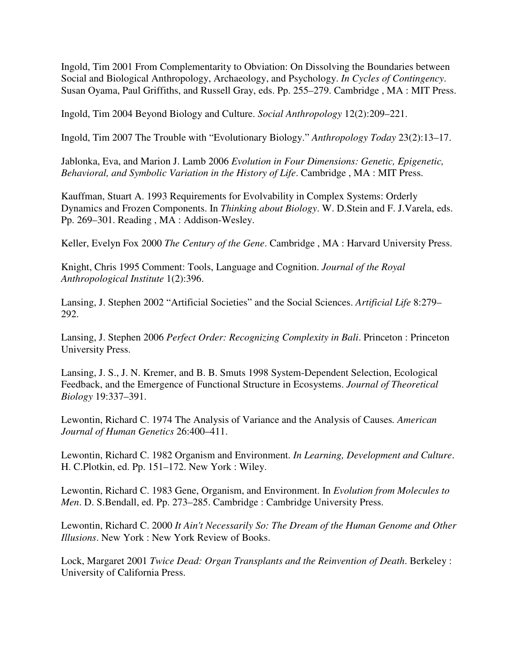Ingold, Tim 2001 From Complementarity to Obviation: On Dissolving the Boundaries between Social and Biological Anthropology, Archaeology, and Psychology. *In Cycles of Contingency*. Susan Oyama, Paul Griffiths, and Russell Gray, eds. Pp. 255–279. Cambridge , MA : MIT Press.

Ingold, Tim 2004 Beyond Biology and Culture. *Social Anthropology* 12(2):209–221.

Ingold, Tim 2007 The Trouble with "Evolutionary Biology." *Anthropology Today* 23(2):13–17.

Jablonka, Eva, and Marion J. Lamb 2006 *Evolution in Four Dimensions: Genetic, Epigenetic, Behavioral, and Symbolic Variation in the History of Life*. Cambridge , MA : MIT Press.

Kauffman, Stuart A. 1993 Requirements for Evolvability in Complex Systems: Orderly Dynamics and Frozen Components. In *Thinking about Biology*. W. D.Stein and F. J.Varela, eds. Pp. 269–301. Reading , MA : Addison-Wesley.

Keller, Evelyn Fox 2000 *The Century of the Gene*. Cambridge , MA : Harvard University Press.

Knight, Chris 1995 Comment: Tools, Language and Cognition. *Journal of the Royal Anthropological Institute* 1(2):396.

Lansing, J. Stephen 2002 "Artificial Societies" and the Social Sciences. *Artificial Life* 8:279– 292.

Lansing, J. Stephen 2006 *Perfect Order: Recognizing Complexity in Bali*. Princeton : Princeton University Press.

Lansing, J. S., J. N. Kremer, and B. B. Smuts 1998 System-Dependent Selection, Ecological Feedback, and the Emergence of Functional Structure in Ecosystems. *Journal of Theoretical Biology* 19:337–391.

Lewontin, Richard C. 1974 The Analysis of Variance and the Analysis of Causes*. American Journal of Human Genetics* 26:400–411.

Lewontin, Richard C. 1982 Organism and Environment. *In Learning, Development and Culture*. H. C.Plotkin, ed. Pp. 151–172. New York : Wiley.

Lewontin, Richard C. 1983 Gene, Organism, and Environment. In *Evolution from Molecules to Men*. D. S.Bendall, ed. Pp. 273–285. Cambridge : Cambridge University Press.

Lewontin, Richard C. 2000 *It Ain't Necessarily So: The Dream of the Human Genome and Other Illusions*. New York : New York Review of Books.

Lock, Margaret 2001 *Twice Dead: Organ Transplants and the Reinvention of Death*. Berkeley : University of California Press.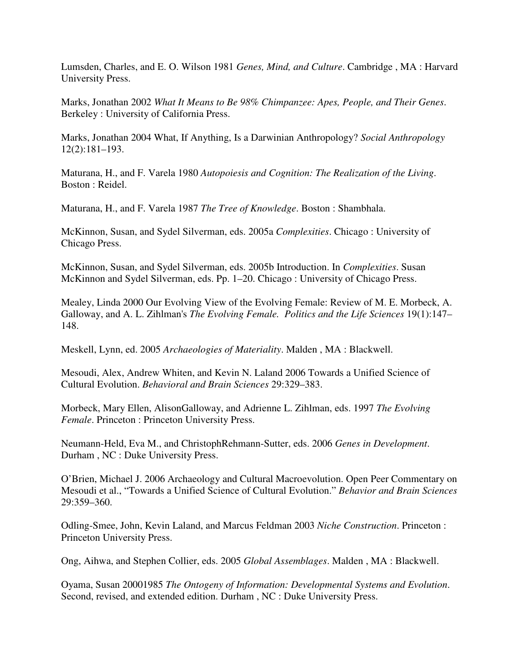Lumsden, Charles, and E. O. Wilson 1981 *Genes, Mind, and Culture*. Cambridge , MA : Harvard University Press.

Marks, Jonathan 2002 *What It Means to Be 98% Chimpanzee: Apes, People, and Their Genes*. Berkeley : University of California Press.

Marks, Jonathan 2004 What, If Anything, Is a Darwinian Anthropology? *Social Anthropology* 12(2):181–193.

Maturana, H., and F. Varela 1980 *Autopoiesis and Cognition: The Realization of the Living*. Boston : Reidel.

Maturana, H., and F. Varela 1987 *The Tree of Knowledge*. Boston : Shambhala.

McKinnon, Susan, and Sydel Silverman, eds. 2005a *Complexities*. Chicago : University of Chicago Press.

McKinnon, Susan, and Sydel Silverman, eds. 2005b Introduction. In *Complexities*. Susan McKinnon and Sydel Silverman, eds. Pp. 1–20. Chicago : University of Chicago Press.

Mealey, Linda 2000 Our Evolving View of the Evolving Female: Review of M. E. Morbeck, A. Galloway, and A. L. Zihlman's *The Evolving Female. Politics and the Life Sciences* 19(1):147– 148.

Meskell, Lynn, ed. 2005 *Archaeologies of Materiality*. Malden , MA : Blackwell.

Mesoudi, Alex, Andrew Whiten, and Kevin N. Laland 2006 Towards a Unified Science of Cultural Evolution. *Behavioral and Brain Sciences* 29:329–383.

Morbeck, Mary Ellen, AlisonGalloway, and Adrienne L. Zihlman, eds. 1997 *The Evolving Female*. Princeton : Princeton University Press.

Neumann-Held, Eva M., and ChristophRehmann-Sutter, eds. 2006 *Genes in Development*. Durham , NC : Duke University Press.

O'Brien, Michael J. 2006 Archaeology and Cultural Macroevolution. Open Peer Commentary on Mesoudi et al., "Towards a Unified Science of Cultural Evolution." *Behavior and Brain Sciences*  29:359–360.

Odling-Smee, John, Kevin Laland, and Marcus Feldman 2003 *Niche Construction*. Princeton : Princeton University Press.

Ong, Aihwa, and Stephen Collier, eds. 2005 *Global Assemblages*. Malden , MA : Blackwell.

Oyama, Susan 20001985 *The Ontogeny of Information: Developmental Systems and Evolution*. Second, revised, and extended edition. Durham , NC : Duke University Press.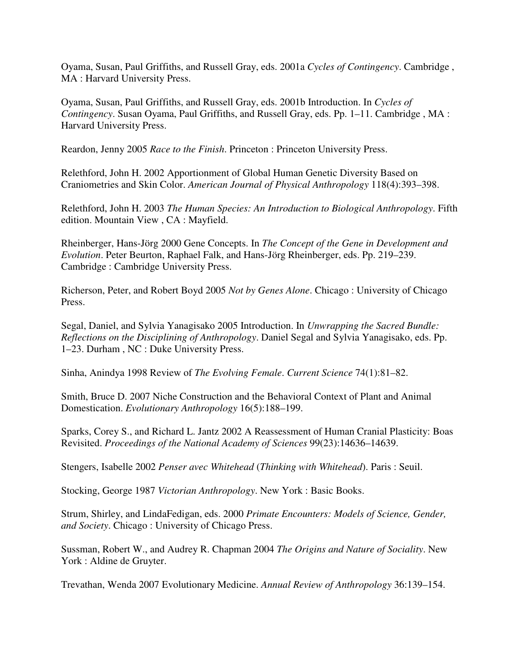Oyama, Susan, Paul Griffiths, and Russell Gray, eds. 2001a *Cycles of Contingency*. Cambridge , MA : Harvard University Press.

Oyama, Susan, Paul Griffiths, and Russell Gray, eds. 2001b Introduction. In *Cycles of Contingency*. Susan Oyama, Paul Griffiths, and Russell Gray, eds. Pp. 1–11. Cambridge , MA : Harvard University Press.

Reardon, Jenny 2005 *Race to the Finish*. Princeton : Princeton University Press.

Relethford, John H. 2002 Apportionment of Global Human Genetic Diversity Based on Craniometries and Skin Color. *American Journal of Physical Anthropology* 118(4):393–398.

Relethford, John H. 2003 *The Human Species: An Introduction to Biological Anthropology*. Fifth edition. Mountain View , CA : Mayfield.

Rheinberger, Hans-Jörg 2000 Gene Concepts. In *The Concept of the Gene in Development and Evolution*. Peter Beurton, Raphael Falk, and Hans-Jörg Rheinberger, eds. Pp. 219–239. Cambridge : Cambridge University Press.

Richerson, Peter, and Robert Boyd 2005 *Not by Genes Alone*. Chicago : University of Chicago Press.

Segal, Daniel, and Sylvia Yanagisako 2005 Introduction. In *Unwrapping the Sacred Bundle: Reflections on the Disciplining of Anthropology*. Daniel Segal and Sylvia Yanagisako, eds. Pp. 1–23. Durham , NC : Duke University Press.

Sinha, Anindya 1998 Review of *The Evolving Female*. *Current Science* 74(1):81–82.

Smith, Bruce D. 2007 Niche Construction and the Behavioral Context of Plant and Animal Domestication. *Evolutionary Anthropology* 16(5):188–199.

Sparks, Corey S., and Richard L. Jantz 2002 A Reassessment of Human Cranial Plasticity: Boas Revisited. *Proceedings of the National Academy of Sciences* 99(23):14636–14639.

Stengers, Isabelle 2002 *Penser avec Whitehead* (*Thinking with Whitehead*). Paris : Seuil.

Stocking, George 1987 *Victorian Anthropology*. New York : Basic Books.

Strum, Shirley, and LindaFedigan, eds. 2000 *Primate Encounters: Models of Science, Gender, and Society*. Chicago : University of Chicago Press.

Sussman, Robert W., and Audrey R. Chapman 2004 *The Origins and Nature of Sociality*. New York : Aldine de Gruyter.

Trevathan, Wenda 2007 Evolutionary Medicine. *Annual Review of Anthropology* 36:139–154.